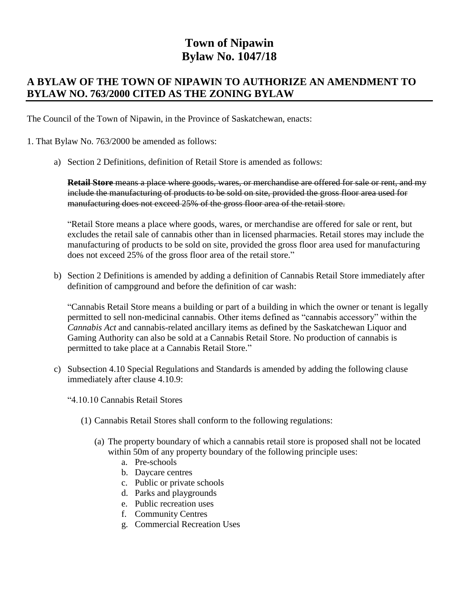## **Town of Nipawin Bylaw No. 1047/18**

## **A BYLAW OF THE TOWN OF NIPAWIN TO AUTHORIZE AN AMENDMENT TO BYLAW NO. 763/2000 CITED AS THE ZONING BYLAW**

The Council of the Town of Nipawin, in the Province of Saskatchewan, enacts:

- 1. That Bylaw No. 763/2000 be amended as follows:
	- a) Section 2 Definitions, definition of Retail Store is amended as follows:

**Retail Store** means a place where goods, wares, or merchandise are offered for sale or rent, and my include the manufacturing of products to be sold on site, provided the gross floor area used for manufacturing does not exceed 25% of the gross floor area of the retail store.

"Retail Store means a place where goods, wares, or merchandise are offered for sale or rent, but excludes the retail sale of cannabis other than in licensed pharmacies. Retail stores may include the manufacturing of products to be sold on site, provided the gross floor area used for manufacturing does not exceed 25% of the gross floor area of the retail store."

b) Section 2 Definitions is amended by adding a definition of Cannabis Retail Store immediately after definition of campground and before the definition of car wash:

"Cannabis Retail Store means a building or part of a building in which the owner or tenant is legally permitted to sell non-medicinal cannabis. Other items defined as "cannabis accessory" within the *Cannabis Act* and cannabis-related ancillary items as defined by the Saskatchewan Liquor and Gaming Authority can also be sold at a Cannabis Retail Store. No production of cannabis is permitted to take place at a Cannabis Retail Store."

- c) Subsection 4.10 Special Regulations and Standards is amended by adding the following clause immediately after clause 4.10.9:
	- "4.10.10 Cannabis Retail Stores
		- (1) Cannabis Retail Stores shall conform to the following regulations:
			- (a) The property boundary of which a cannabis retail store is proposed shall not be located within 50m of any property boundary of the following principle uses:
				- a. Pre-schools
				- b. Daycare centres
				- c. Public or private schools
				- d. Parks and playgrounds
				- e. Public recreation uses
				- f. Community Centres
				- g. Commercial Recreation Uses